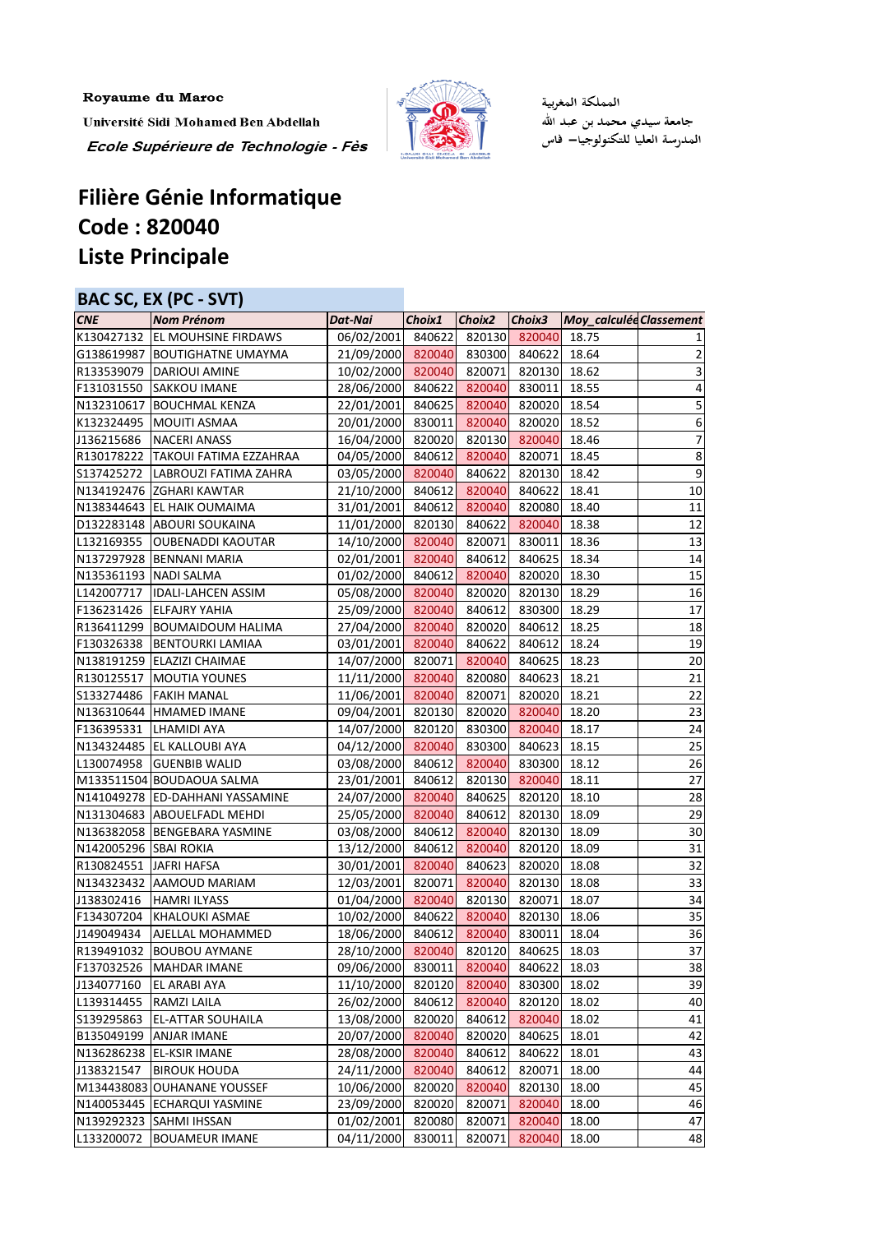Royaume du Maroc Université Sidi Mohamed Ben Abdellah Ecole Supérieure de Technologie - Fès



المملكة المغربية جامعة سيدي محمد بن عبد الله<br>المدرسة العليا للتكنولوجيا— فاس

## **Filière Génie Informatique Code : 820040 Liste Principale**

| BAC SC, EX (PC - SVT)  |                                     |            |        |        |        |                         |                         |
|------------------------|-------------------------------------|------------|--------|--------|--------|-------------------------|-------------------------|
| <b>CNE</b>             | <b>Nom Prénom</b>                   | Dat-Nai    | Choix1 | Choix2 | Choix3 | Moy_calculée Classement |                         |
|                        | K130427132   EL MOUHSINE FIRDAWS    | 06/02/2001 | 840622 | 820130 | 820040 | 18.75                   | 1                       |
|                        | G138619987 BOUTIGHATNE UMAYMA       | 21/09/2000 | 820040 | 830300 | 840622 | 18.64                   | $\overline{2}$          |
| R133539079             | <b>DARIOUI AMINE</b>                | 10/02/2000 | 820040 | 820071 | 820130 | 18.62                   | 3                       |
| F131031550             | <b>SAKKOU IMANE</b>                 | 28/06/2000 | 840622 | 820040 | 830011 | 18.55                   | $\overline{\mathbf{r}}$ |
| N132310617             | <b>BOUCHMAL KENZA</b>               | 22/01/2001 | 840625 | 820040 | 820020 | 18.54                   | 5                       |
| K132324495             | <b>MOUITI ASMAA</b>                 | 20/01/2000 | 830011 | 820040 | 820020 | 18.52                   | $\overline{6}$          |
| J136215686             | <b>NACERI ANASS</b>                 | 16/04/2000 | 820020 | 820130 | 820040 | 18.46                   | 7                       |
|                        | R130178222   TAKOUI FATIMA EZZAHRAA | 04/05/2000 | 840612 | 820040 | 820071 | 18.45                   | $\bf 8$                 |
| S137425272             | LABROUZI FATIMA ZAHRA               | 03/05/2000 | 820040 | 840622 | 820130 | 18.42                   | $\boldsymbol{9}$        |
|                        | N134192476 ZGHARI KAWTAR            | 21/10/2000 | 840612 | 820040 | 840622 | 18.41                   | $10\,$                  |
|                        | N138344643 EL HAIK OUMAIMA          | 31/01/2001 | 840612 | 820040 | 820080 | 18.40                   | 11                      |
|                        | D132283148 ABOURI SOUKAINA          | 11/01/2000 | 820130 | 840622 | 820040 | 18.38                   | 12                      |
| L132169355             | <b>OUBENADDI KAOUTAR</b>            | 14/10/2000 | 820040 | 820071 | 830011 | 18.36                   | 13                      |
|                        | N137297928 BENNANI MARIA            | 02/01/2001 | 820040 | 840612 | 840625 | 18.34                   | 14                      |
|                        | N135361193 NADI SALMA               | 01/02/2000 | 840612 | 820040 | 820020 | 18.30                   | 15                      |
| L142007717             | <b>IDALI-LAHCEN ASSIM</b>           | 05/08/2000 | 820040 | 820020 | 820130 | 18.29                   | 16                      |
| F136231426             | <b>ELFAJRY YAHIA</b>                | 25/09/2000 | 820040 | 840612 | 830300 | 18.29                   | 17                      |
|                        | R136411299   BOUMAIDOUM HALIMA      | 27/04/2000 | 820040 | 820020 | 840612 | 18.25                   | 18                      |
| F130326338             | <b>BENTOURKI LAMIAA</b>             | 03/01/2001 | 820040 | 840622 | 840612 | 18.24                   | 19                      |
|                        | N138191259 ELAZIZI CHAIMAE          | 14/07/2000 | 820071 | 820040 | 840625 | 18.23                   | 20                      |
| R130125517             | MOUTIA YOUNES                       | 11/11/2000 | 820040 | 820080 | 840623 | 18.21                   | 21                      |
| S133274486             | <b>FAKIH MANAL</b>                  | 11/06/2001 | 820040 | 820071 | 820020 | 18.21                   | 22                      |
|                        | N136310644 HMAMED IMANE             | 09/04/2001 | 820130 | 820020 | 820040 | 18.20                   | 23                      |
| F136395331             | <b>LHAMIDI AYA</b>                  | 14/07/2000 | 820120 | 830300 | 820040 | 18.17                   | 24                      |
| N134324485             | EL KALLOUBI AYA                     | 04/12/2000 | 820040 | 830300 | 840623 | 18.15                   | 25                      |
| L130074958             | <b>GUENBIB WALID</b>                | 03/08/2000 | 840612 | 820040 | 830300 | 18.12                   | 26                      |
|                        | M133511504 BOUDAOUA SALMA           | 23/01/2001 | 840612 | 820130 | 820040 | 18.11                   | 27                      |
| N141049278             | <b>ED-DAHHANI YASSAMINE</b>         | 24/07/2000 | 820040 | 840625 | 820120 | 18.10                   | 28                      |
|                        | N131304683 ABOUELFADL MEHDI         | 25/05/2000 | 820040 | 840612 | 820130 | 18.09                   | 29                      |
|                        | N136382058 BENGEBARA YASMINE        | 03/08/2000 | 840612 | 820040 | 820130 | 18.09                   | 30                      |
| N142005296 SBAI ROKIA  |                                     | 13/12/2000 | 840612 | 820040 | 820120 | 18.09                   | 31                      |
| R130824551 JAFRI HAFSA |                                     | 30/01/2001 | 820040 | 840623 | 820020 | 18.08                   | 32                      |
| N134323432             | AAMOUD MARIAM                       | 12/03/2001 | 820071 | 820040 | 820130 | 18.08                   | 33                      |
| J138302416             | <b>HAMRI ILYASS</b>                 | 01/04/2000 | 820040 | 820130 | 820071 | 18.07                   | 34                      |
| F134307204             | KHALOUKI ASMAE                      | 10/02/2000 | 840622 | 820040 | 820130 | 18.06                   | 35                      |
| J149049434             | AJELLAL MOHAMMED                    | 18/06/2000 | 840612 | 820040 | 830011 | 18.04                   | 36                      |
| R139491032             | <b>BOUBOU AYMANE</b>                | 28/10/2000 | 820040 | 820120 | 840625 | 18.03                   | 37                      |
| F137032526             | <b>MAHDAR IMANE</b>                 | 09/06/2000 | 830011 | 820040 | 840622 | 18.03                   | 38                      |
| J134077160             | EL ARABI AYA                        | 11/10/2000 | 820120 | 820040 | 830300 | 18.02                   | 39                      |
| L139314455             | RAMZI LAILA                         | 26/02/2000 | 840612 | 820040 | 820120 | 18.02                   | 40                      |
| S139295863             | <b>EL-ATTAR SOUHAILA</b>            | 13/08/2000 | 820020 | 840612 | 820040 | 18.02                   | 41                      |
| B135049199             | <b>ANJAR IMANE</b>                  | 20/07/2000 | 820040 | 820020 | 840625 | 18.01                   | 42                      |
|                        | N136286238 EL-KSIR IMANE            | 28/08/2000 | 820040 | 840612 | 840622 | 18.01                   | 43                      |
| J138321547             | <b>BIROUK HOUDA</b>                 | 24/11/2000 | 820040 | 840612 | 820071 | 18.00                   | 44                      |
|                        | M134438083 OUHANANE YOUSSEF         | 10/06/2000 | 820020 | 820040 | 820130 | 18.00                   | 45                      |
|                        | N140053445 ECHARQUI YASMINE         | 23/09/2000 | 820020 | 820071 | 820040 | 18.00                   | 46                      |
|                        | N139292323 SAHMI IHSSAN             | 01/02/2001 | 820080 | 820071 | 820040 | 18.00                   | 47                      |
| L133200072             | <b>BOUAMEUR IMANE</b>               | 04/11/2000 | 830011 | 820071 | 820040 | 18.00                   | 48                      |
|                        |                                     |            |        |        |        |                         |                         |